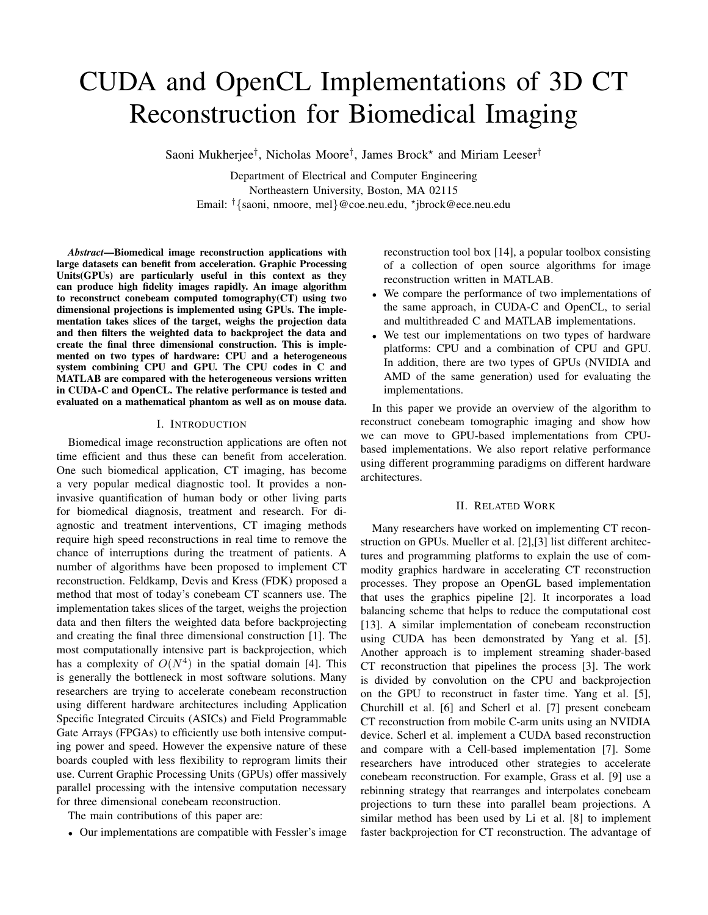# CUDA and OpenCL Implementations of 3D CT Reconstruction for Biomedical Imaging

Saoni Mukherjee<sup>†</sup>, Nicholas Moore<sup>†</sup>, James Brock\* and Miriam Leeser<sup>†</sup>

Department of Electrical and Computer Engineering Northeastern University, Boston, MA 02115 Email: <sup>†</sup>{saoni, nmoore, mel}@coe.neu.edu, \*jbrock@ece.neu.edu

*Abstract*—Biomedical image reconstruction applications with large datasets can benefit from acceleration. Graphic Processing Units(GPUs) are particularly useful in this context as they can produce high fidelity images rapidly. An image algorithm to reconstruct conebeam computed tomography(CT) using two dimensional projections is implemented using GPUs. The implementation takes slices of the target, weighs the projection data and then filters the weighted data to backproject the data and create the final three dimensional construction. This is implemented on two types of hardware: CPU and a heterogeneous system combining CPU and GPU. The CPU codes in C and MATLAB are compared with the heterogeneous versions written in CUDA-C and OpenCL. The relative performance is tested and evaluated on a mathematical phantom as well as on mouse data.

# I. INTRODUCTION

Biomedical image reconstruction applications are often not time efficient and thus these can benefit from acceleration. One such biomedical application, CT imaging, has become a very popular medical diagnostic tool. It provides a noninvasive quantification of human body or other living parts for biomedical diagnosis, treatment and research. For diagnostic and treatment interventions, CT imaging methods require high speed reconstructions in real time to remove the chance of interruptions during the treatment of patients. A number of algorithms have been proposed to implement CT reconstruction. Feldkamp, Devis and Kress (FDK) proposed a method that most of today's conebeam CT scanners use. The implementation takes slices of the target, weighs the projection data and then filters the weighted data before backprojecting and creating the final three dimensional construction [1]. The most computationally intensive part is backprojection, which has a complexity of  $O(N^4)$  in the spatial domain [4]. This is generally the bottleneck in most software solutions. Many researchers are trying to accelerate conebeam reconstruction using different hardware architectures including Application Specific Integrated Circuits (ASICs) and Field Programmable Gate Arrays (FPGAs) to efficiently use both intensive computing power and speed. However the expensive nature of these boards coupled with less flexibility to reprogram limits their use. Current Graphic Processing Units (GPUs) offer massively parallel processing with the intensive computation necessary for three dimensional conebeam reconstruction.

The main contributions of this paper are:

• Our implementations are compatible with Fessler's image

reconstruction tool box [14], a popular toolbox consisting of a collection of open source algorithms for image reconstruction written in MATLAB.

- We compare the performance of two implementations of the same approach, in CUDA-C and OpenCL, to serial and multithreaded C and MATLAB implementations.
- We test our implementations on two types of hardware platforms: CPU and a combination of CPU and GPU. In addition, there are two types of GPUs (NVIDIA and AMD of the same generation) used for evaluating the implementations.

In this paper we provide an overview of the algorithm to reconstruct conebeam tomographic imaging and show how we can move to GPU-based implementations from CPUbased implementations. We also report relative performance using different programming paradigms on different hardware architectures.

## II. RELATED WORK

Many researchers have worked on implementing CT reconstruction on GPUs. Mueller et al. [2],[3] list different architectures and programming platforms to explain the use of commodity graphics hardware in accelerating CT reconstruction processes. They propose an OpenGL based implementation that uses the graphics pipeline [2]. It incorporates a load balancing scheme that helps to reduce the computational cost [13]. A similar implementation of conebeam reconstruction using CUDA has been demonstrated by Yang et al. [5]. Another approach is to implement streaming shader-based CT reconstruction that pipelines the process [3]. The work is divided by convolution on the CPU and backprojection on the GPU to reconstruct in faster time. Yang et al. [5], Churchill et al. [6] and Scherl et al. [7] present conebeam CT reconstruction from mobile C-arm units using an NVIDIA device. Scherl et al. implement a CUDA based reconstruction and compare with a Cell-based implementation [7]. Some researchers have introduced other strategies to accelerate conebeam reconstruction. For example, Grass et al. [9] use a rebinning strategy that rearranges and interpolates conebeam projections to turn these into parallel beam projections. A similar method has been used by Li et al. [8] to implement faster backprojection for CT reconstruction. The advantage of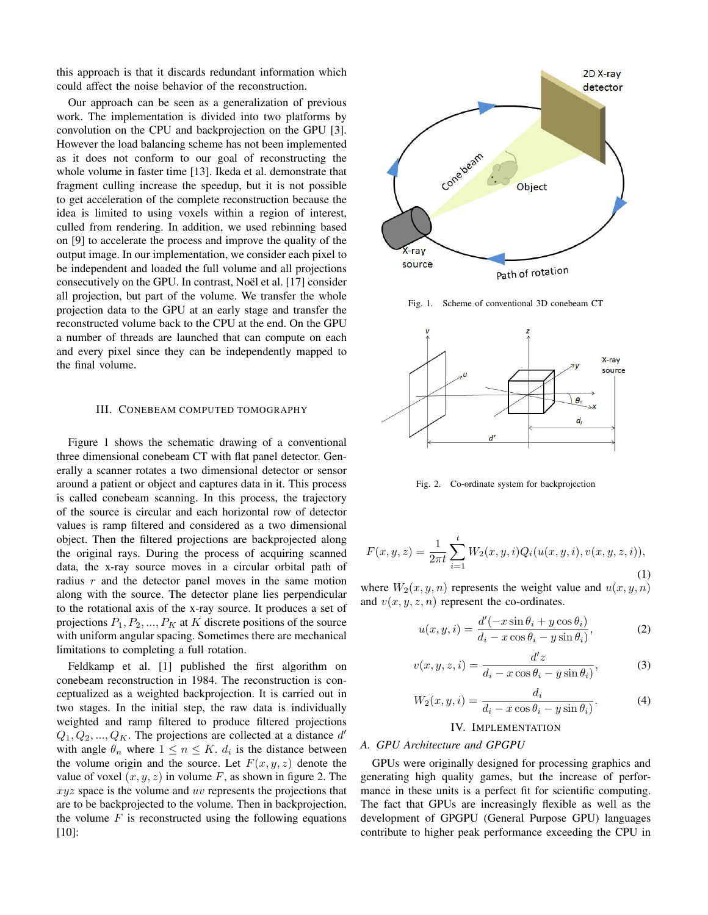this approach is that it discards redundant information which could affect the noise behavior of the reconstruction.

Our approach can be seen as a generalization of previous work. The implementation is divided into two platforms by convolution on the CPU and backprojection on the GPU [3]. However the load balancing scheme has not been implemented as it does not conform to our goal of reconstructing the whole volume in faster time [13]. Ikeda et al. demonstrate that fragment culling increase the speedup, but it is not possible to get acceleration of the complete reconstruction because the idea is limited to using voxels within a region of interest, culled from rendering. In addition, we used rebinning based on [9] to accelerate the process and improve the quality of the output image. In our implementation, we consider each pixel to be independent and loaded the full volume and all projections consecutively on the GPU. In contrast, Noël et al. [17] consider all projection, but part of the volume. We transfer the whole projection data to the GPU at an early stage and transfer the reconstructed volume back to the CPU at the end. On the GPU a number of threads are launched that can compute on each and every pixel since they can be independently mapped to the final volume.

## III. CONEBEAM COMPUTED TOMOGRAPHY

Figure 1 shows the schematic drawing of a conventional three dimensional conebeam CT with flat panel detector. Generally a scanner rotates a two dimensional detector or sensor around a patient or object and captures data in it. This process is called conebeam scanning. In this process, the trajectory of the source is circular and each horizontal row of detector values is ramp filtered and considered as a two dimensional object. Then the filtered projections are backprojected along the original rays. During the process of acquiring scanned data, the x-ray source moves in a circular orbital path of radius  $r$  and the detector panel moves in the same motion along with the source. The detector plane lies perpendicular to the rotational axis of the x-ray source. It produces a set of projections  $P_1, P_2, ..., P_K$  at K discrete positions of the source with uniform angular spacing. Sometimes there are mechanical limitations to completing a full rotation.

Feldkamp et al. [1] published the first algorithm on conebeam reconstruction in 1984. The reconstruction is conceptualized as a weighted backprojection. It is carried out in two stages. In the initial step, the raw data is individually weighted and ramp filtered to produce filtered projections  $Q_1, Q_2, ..., Q_K$ . The projections are collected at a distance d' with angle  $\theta_n$  where  $1 \leq n \leq K$ .  $d_i$  is the distance between the volume origin and the source. Let  $F(x, y, z)$  denote the value of voxel  $(x, y, z)$  in volume F, as shown in figure 2. The  $xyz$  space is the volume and  $uv$  represents the projections that are to be backprojected to the volume. Then in backprojection, the volume  $F$  is reconstructed using the following equations [10]:



Fig. 1. Scheme of conventional 3D conebeam CT



Fig. 2. Co-ordinate system for backprojection

$$
F(x, y, z) = \frac{1}{2\pi t} \sum_{i=1}^{t} W_2(x, y, i) Q_i(u(x, y, i), v(x, y, z, i)),
$$
\n(1)

where  $W_2(x, y, n)$  represents the weight value and  $u(x, y, n)$ and  $v(x, y, z, n)$  represent the co-ordinates.

$$
u(x, y, i) = \frac{d'(-x\sin\theta_i + y\cos\theta_i)}{d_i - x\cos\theta_i - y\sin\theta_i},
$$
 (2)

$$
v(x, y, z, i) = \frac{d'z}{d_i - x\cos\theta_i - y\sin\theta_i},
$$
\n(3)

$$
W_2(x, y, i) = \frac{d_i}{d_i - x \cos \theta_i - y \sin \theta_i}.
$$
 (4)

## IV. IMPLEMENTATION

# *A. GPU Architecture and GPGPU*

GPUs were originally designed for processing graphics and generating high quality games, but the increase of performance in these units is a perfect fit for scientific computing. The fact that GPUs are increasingly flexible as well as the development of GPGPU (General Purpose GPU) languages contribute to higher peak performance exceeding the CPU in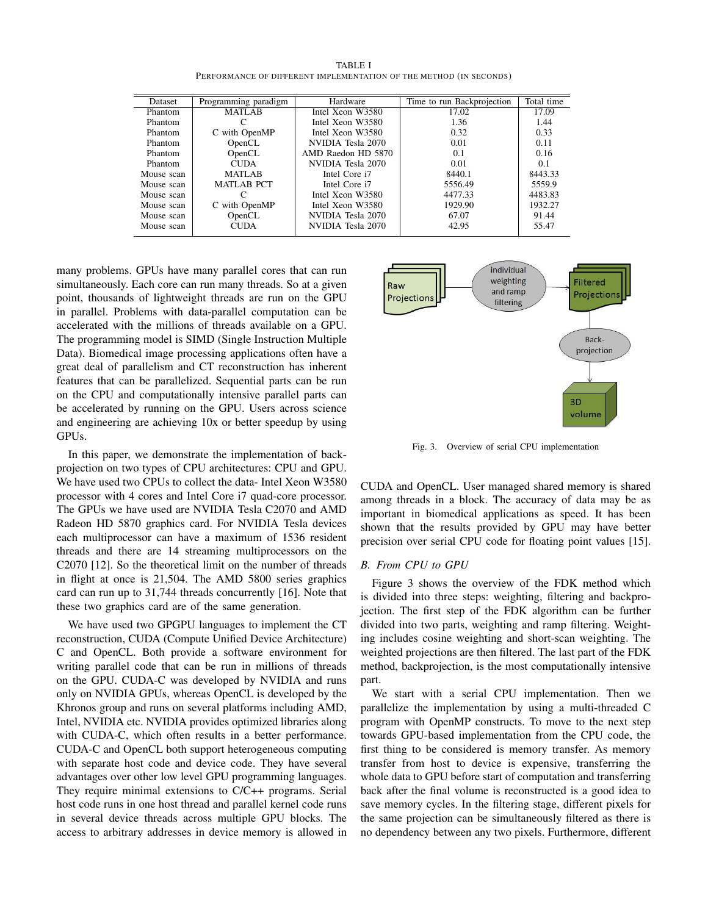TABLE I PERFORMANCE OF DIFFERENT IMPLEMENTATION OF THE METHOD (IN SECONDS)

| Dataset    | Programming paradigm | Hardware           | Time to run Backprojection | Total time |
|------------|----------------------|--------------------|----------------------------|------------|
| Phantom    | <b>MATLAB</b>        | Intel Xeon W3580   | 17.02                      | 17.09      |
| Phantom    |                      | Intel Xeon W3580   | 1.36                       | 1.44       |
| Phantom    | C with OpenMP        | Intel Xeon W3580   | 0.32                       | 0.33       |
| Phantom    | OpenCL               | NVIDIA Tesla 2070  | 0.01                       | 0.11       |
| Phantom    | OpenCL               | AMD Raedon HD 5870 | 0.1                        | 0.16       |
| Phantom    | <b>CUDA</b>          | NVIDIA Tesla 2070  | 0.01                       | 0.1        |
| Mouse scan | <b>MATLAB</b>        | Intel Core i7      | 8440.1                     | 8443.33    |
| Mouse scan | <b>MATLAB PCT</b>    | Intel Core i7      | 5556.49                    | 5559.9     |
| Mouse scan |                      | Intel Xeon W3580   | 4477.33                    | 4483.83    |
| Mouse scan | C with OpenMP        | Intel Xeon W3580   | 1929.90                    | 1932.27    |
| Mouse scan | OpenCL               | NVIDIA Tesla 2070  | 67.07                      | 91.44      |
| Mouse scan | <b>CUDA</b>          | NVIDIA Tesla 2070  | 42.95                      | 55.47      |
|            |                      |                    |                            |            |

many problems. GPUs have many parallel cores that can run simultaneously. Each core can run many threads. So at a given point, thousands of lightweight threads are run on the GPU in parallel. Problems with data-parallel computation can be accelerated with the millions of threads available on a GPU. The programming model is SIMD (Single Instruction Multiple Data). Biomedical image processing applications often have a great deal of parallelism and CT reconstruction has inherent features that can be parallelized. Sequential parts can be run on the CPU and computationally intensive parallel parts can be accelerated by running on the GPU. Users across science and engineering are achieving 10x or better speedup by using GPUs.

In this paper, we demonstrate the implementation of backprojection on two types of CPU architectures: CPU and GPU. We have used two CPUs to collect the data- Intel Xeon W3580 processor with 4 cores and Intel Core i7 quad-core processor. The GPUs we have used are NVIDIA Tesla C2070 and AMD Radeon HD 5870 graphics card. For NVIDIA Tesla devices each multiprocessor can have a maximum of 1536 resident threads and there are 14 streaming multiprocessors on the C2070 [12]. So the theoretical limit on the number of threads in flight at once is 21,504. The AMD 5800 series graphics card can run up to 31,744 threads concurrently [16]. Note that these two graphics card are of the same generation.

We have used two GPGPU languages to implement the CT reconstruction, CUDA (Compute Unified Device Architecture) C and OpenCL. Both provide a software environment for writing parallel code that can be run in millions of threads on the GPU. CUDA-C was developed by NVIDIA and runs only on NVIDIA GPUs, whereas OpenCL is developed by the Khronos group and runs on several platforms including AMD, Intel, NVIDIA etc. NVIDIA provides optimized libraries along with CUDA-C, which often results in a better performance. CUDA-C and OpenCL both support heterogeneous computing with separate host code and device code. They have several advantages over other low level GPU programming languages. They require minimal extensions to C/C++ programs. Serial host code runs in one host thread and parallel kernel code runs in several device threads across multiple GPU blocks. The access to arbitrary addresses in device memory is allowed in



Fig. 3. Overview of serial CPU implementation

CUDA and OpenCL. User managed shared memory is shared among threads in a block. The accuracy of data may be as important in biomedical applications as speed. It has been shown that the results provided by GPU may have better precision over serial CPU code for floating point values [15].

# *B. From CPU to GPU*

Figure 3 shows the overview of the FDK method which is divided into three steps: weighting, filtering and backprojection. The first step of the FDK algorithm can be further divided into two parts, weighting and ramp filtering. Weighting includes cosine weighting and short-scan weighting. The weighted projections are then filtered. The last part of the FDK method, backprojection, is the most computationally intensive part.

We start with a serial CPU implementation. Then we parallelize the implementation by using a multi-threaded C program with OpenMP constructs. To move to the next step towards GPU-based implementation from the CPU code, the first thing to be considered is memory transfer. As memory transfer from host to device is expensive, transferring the whole data to GPU before start of computation and transferring back after the final volume is reconstructed is a good idea to save memory cycles. In the filtering stage, different pixels for the same projection can be simultaneously filtered as there is no dependency between any two pixels. Furthermore, different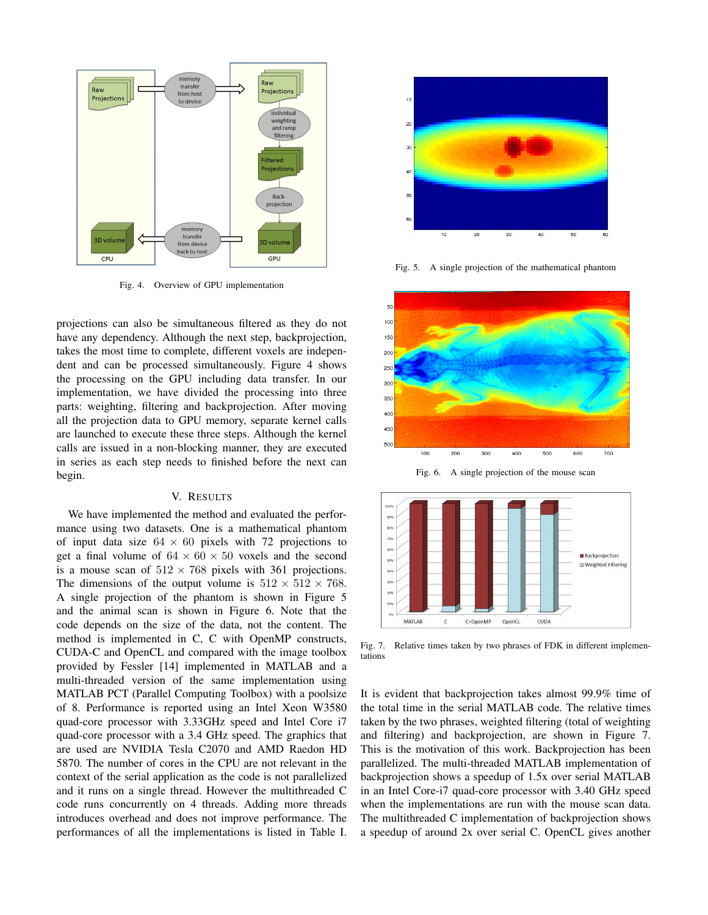

Fig. 4. Overview of GPU implementation

projections can also be simultaneous filtered as they do not have any dependency. Although the next step, backprojection, takes the most time to complete, different voxels are independent and can be processed simultaneously. Figure 4 shows the processing on the GPU including data transfer. In our implementation, we have divided the processing into three parts: weighting, filtering and backprojection. After moving all the projection data to GPU memory, separate kernel calls are launched to execute these three steps. Although the kernel calls are issued in a non-blocking manner, they are executed in series as each step needs to finished before the next can begin.

# V. RESULTS

We have implemented the method and evaluated the performance using two datasets. One is a mathematical phantom of input data size  $64 \times 60$  pixels with 72 projections to get a final volume of  $64 \times 60 \times 50$  voxels and the second is a mouse scan of  $512 \times 768$  pixels with 361 projections. The dimensions of the output volume is  $512 \times 512 \times 768$ . A single projection of the phantom is shown in Figure 5 and the animal scan is shown in Figure 6. Note that the code depends on the size of the data, not the content. The method is implemented in C, C with OpenMP constructs, CUDA-C and OpenCL and compared with the image toolbox provided by Fessler [14] implemented in MATLAB and a multi-threaded version of the same implementation using MATLAB PCT (Parallel Computing Toolbox) with a poolsize of 8. Performance is reported using an Intel Xeon W3580 quad-core processor with 3.33GHz speed and Intel Core i7 quad-core processor with a 3.4 GHz speed. The graphics that are used are NVIDIA Tesla C2070 and AMD Raedon HD 5870. The number of cores in the CPU are not relevant in the context of the serial application as the code is not parallelized and it runs on a single thread. However the multithreaded C code runs concurrently on 4 threads. Adding more threads introduces overhead and does not improve performance. The performances of all the implementations is listed in Table I.



Fig. 5. A single projection of the mathematical phantom



Fig. 6. A single projection of the mouse scan



Fig. 7. Relative times taken by two phrases of FDK in different implementations

It is evident that backprojection takes almost 99.9% time of the total time in the serial MATLAB code. The relative times taken by the two phrases, weighted filtering (total of weighting and filtering) and backprojection, are shown in Figure 7. This is the motivation of this work. Backprojection has been parallelized. The multi-threaded MATLAB implementation of backprojection shows a speedup of 1.5x over serial MATLAB in an Intel Core-i7 quad-core processor with 3.40 GHz speed when the implementations are run with the mouse scan data. The multithreaded C implementation of backprojection shows a speedup of around 2x over serial C. OpenCL gives another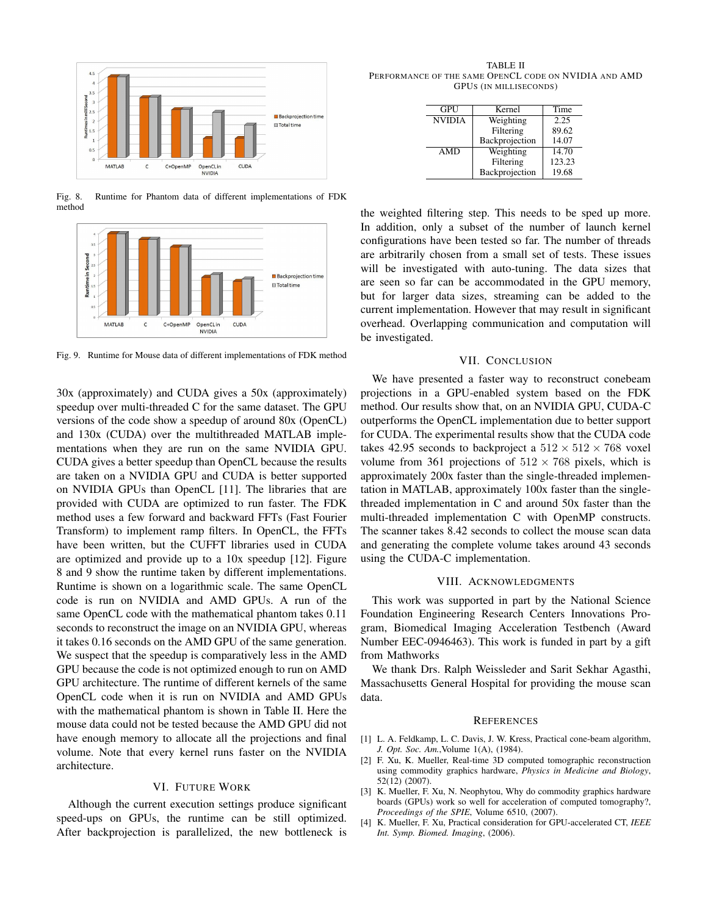

Fig. 8. Runtime for Phantom data of different implementations of FDK method



Fig. 9. Runtime for Mouse data of different implementations of FDK method

30x (approximately) and CUDA gives a 50x (approximately) speedup over multi-threaded C for the same dataset. The GPU versions of the code show a speedup of around 80x (OpenCL) and 130x (CUDA) over the multithreaded MATLAB implementations when they are run on the same NVIDIA GPU. CUDA gives a better speedup than OpenCL because the results are taken on a NVIDIA GPU and CUDA is better supported on NVIDIA GPUs than OpenCL [11]. The libraries that are provided with CUDA are optimized to run faster. The FDK method uses a few forward and backward FFTs (Fast Fourier Transform) to implement ramp filters. In OpenCL, the FFTs have been written, but the CUFFT libraries used in CUDA are optimized and provide up to a 10x speedup [12]. Figure 8 and 9 show the runtime taken by different implementations. Runtime is shown on a logarithmic scale. The same OpenCL code is run on NVIDIA and AMD GPUs. A run of the same OpenCL code with the mathematical phantom takes 0.11 seconds to reconstruct the image on an NVIDIA GPU, whereas it takes 0.16 seconds on the AMD GPU of the same generation. We suspect that the speedup is comparatively less in the AMD GPU because the code is not optimized enough to run on AMD GPU architecture. The runtime of different kernels of the same OpenCL code when it is run on NVIDIA and AMD GPUs with the mathematical phantom is shown in Table II. Here the mouse data could not be tested because the AMD GPU did not have enough memory to allocate all the projections and final volume. Note that every kernel runs faster on the NVIDIA architecture.

## VI. FUTURE WORK

Although the current execution settings produce significant speed-ups on GPUs, the runtime can be still optimized. After backprojection is parallelized, the new bottleneck is

TABLE II PERFORMANCE OF THE SAME OPENCL CODE ON NVIDIA AND AMD GPUS (IN MILLISECONDS)

| GPU           | Kernel         | Time   |  |  |
|---------------|----------------|--------|--|--|
| <b>NVIDIA</b> | Weighting      | 2.25   |  |  |
|               | Filtering      | 89.62  |  |  |
|               | Backprojection | 14.07  |  |  |
| <b>AMD</b>    | Weighting      | 14.70  |  |  |
|               | Filtering      | 123.23 |  |  |
|               | Backprojection | 19.68  |  |  |

the weighted filtering step. This needs to be sped up more. In addition, only a subset of the number of launch kernel configurations have been tested so far. The number of threads are arbitrarily chosen from a small set of tests. These issues will be investigated with auto-tuning. The data sizes that are seen so far can be accommodated in the GPU memory, but for larger data sizes, streaming can be added to the current implementation. However that may result in significant overhead. Overlapping communication and computation will be investigated.

# VII. CONCLUSION

We have presented a faster way to reconstruct conebeam projections in a GPU-enabled system based on the FDK method. Our results show that, on an NVIDIA GPU, CUDA-C outperforms the OpenCL implementation due to better support for CUDA. The experimental results show that the CUDA code takes 42.95 seconds to backproject a  $512 \times 512 \times 768$  voxel volume from 361 projections of  $512 \times 768$  pixels, which is approximately 200x faster than the single-threaded implementation in MATLAB, approximately 100x faster than the singlethreaded implementation in C and around 50x faster than the multi-threaded implementation C with OpenMP constructs. The scanner takes 8.42 seconds to collect the mouse scan data and generating the complete volume takes around 43 seconds using the CUDA-C implementation.

#### VIII. ACKNOWLEDGMENTS

This work was supported in part by the National Science Foundation Engineering Research Centers Innovations Program, Biomedical Imaging Acceleration Testbench (Award Number EEC-0946463). This work is funded in part by a gift from Mathworks

We thank Drs. Ralph Weissleder and Sarit Sekhar Agasthi, Massachusetts General Hospital for providing the mouse scan data.

#### **REFERENCES**

- [1] L. A. Feldkamp, L. C. Davis, J. W. Kress, Practical cone-beam algorithm, *J. Opt. Soc. Am.*,Volume 1(A), (1984).
- [2] F. Xu, K. Mueller, Real-time 3D computed tomographic reconstruction using commodity graphics hardware, *Physics in Medicine and Biology*, 52(12) (2007).
- [3] K. Mueller, F. Xu, N. Neophytou, Why do commodity graphics hardware boards (GPUs) work so well for acceleration of computed tomography?, *Proceedings of the SPIE*, Volume 6510, (2007).
- [4] K. Mueller, F. Xu, Practical consideration for GPU-accelerated CT, *IEEE Int. Symp. Biomed. Imaging*, (2006).